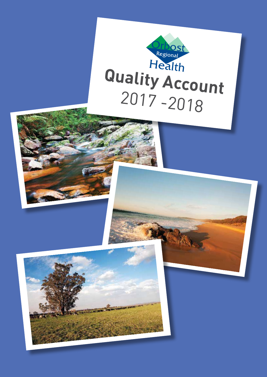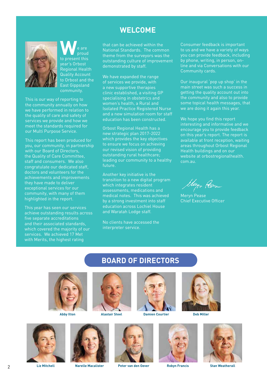### **WELCOME**



W<sub>e are</sub><br>to present this proud year's Orbost Regional Health Quality Account to Orbost and the East Gippsland community.

This is our way of reporting to the community annually on how we have performed in relation to the quality of care and safety of services we provide and how we meet the standards required for our Multi Purpose Service.

This report has been produced for you, our community, in partnership with our Board of Directors, the Quality of Care Committee, staff and consumers. We also congratulate our dedicated staff, doctors and volunteers for the achievements and improvements they have made to deliver exceptional services for our community, with many of them highlighted in the report.

This year has seen our services achieve outstanding results across five separate accreditations and their associated standards, which covered the majority of our services. We achieved 17 Met with Merits, the highest rating

that can be achieved within the National Standards. The common theme from the surveyors was the outstanding culture of improvement demonstrated by staff.

We have expanded the range of services we provide, with a new supportive therapies clinic established, a visiting GP specialising in obstetrics and women's health, a Rural and Isolated Practice Registered Nurse and a new simulation room for staff education has been constructed.

Orbost Regional Health has a new strategic plan 2017-2022 which provides the key objectives to ensure we focus on achieving our revised vision of providing outstanding rural healthcare; leading our community to a healthy future.

Another key initiative is the transition to a new digital program which integrates resident assessments, medications and medical notes. This was achieved by a strong investment into staff education across Lochiel House and Waratah Lodge staff.

No clients have accessed the interpreter service.

**BOARD OF DIRECTORS**

Consumer feedback is important to us and we have a variety of ways you can provide feedback, including by phone, writing, in person, online and via Conversations with our Community cards.

Our inaugural 'pop up shop' in the main street was such a success in getting the quality account out into the community and also to provide some topical health messages, that we are doing it again this year.

We hope you find this report interesting and informative and we encourage you to provide feedback on this year's report. The report is available at front reception, waiting areas throughout Orbost Regional Health buildings and on our website at orbostregionalhealth. com.au.

they Pen

Meryn Pease Chief Executive Officer



**Alastair Steel**











**Peter van den Oever Liz Mitchell Robyn Francis Narelle Macalister Stan Weatherall**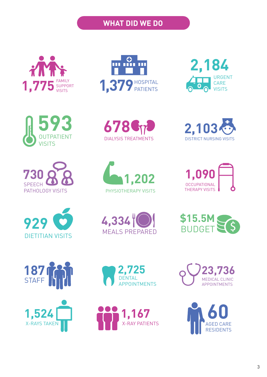## **WHAT DID WE DO**





**730** SPEECH PATHOLOGY VISITS













**187**

STAFF







**2,103** DISTRICT NURSING VISITS







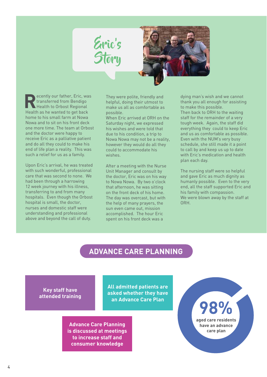



**ecently our father, Eric, was** transferred from Bendigo Health to Orbost Regional Health as he wanted to get back home to his small farm at Nowa Nowa and to sit on his front deck one more time. The team at Orbost and the doctor were happy to receive Eric as a palliative patient and do all they could to make his end of life plan a reality. This was such a relief for us as a family.

Upon Eric's arrival, he was treated with such wonderful, professional care that was second to none. We had been through a harrowing 12 week journey with his illness, transferring to and from many hospitals. Even though the Orbost hospital is small, the doctor, nurses and domestic staff were understanding and professional above and beyond the call of duty.

They were polite, friendly and helpful, doing their utmost to make us all as comfortable as possible.

When Eric arrived at ORH on the Saturday night, we expressed his wishes and were told that due to his condition, a trip to Nowa Nowa may not be a reality, however they would do all they could to accommodate his wishes.

After a meeting with the Nurse Unit Manager and consult by the doctor, Eric was on his way to Nowa Nowa. By two o'clock that afternoon, he was sitting on the front deck of his home. The day was overcast, but with the help of many prayers, the sun even came out, mission accomplished. The hour Eric spent on his front deck was a

dying man's wish and we cannot thank you all enough for assisting to make this possible. Then back to ORH to the waiting staff for the remainder of a very tough week. Again, the staff did everything they could to keep Eric and us as comfortable as possible. Even with the NUM's very busy schedule, she still made it a point to call by and keep us up to date with Eric's medication and health plan each day.

The nursing staff were so helpful and gave Eric as much dignity as humanly possible. Even to the very end, all the staff supported Eric and his family with compassion. We were blown away by the staff at ORH.

## **ADVANCE CARE PLANNING**

**Key staff have attended training**

**All admitted patients are asked whether they have an Advance Care Plan**

**Advance Care Planning is discussed at meetings to increase staff and consumer knowledge**

**98% aged care residents have an advance care plan**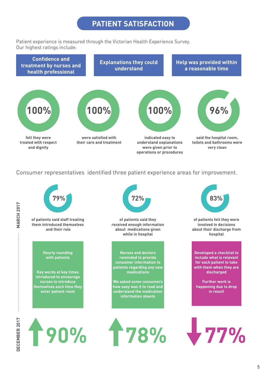## **PATIENT SATISFACTION**

Patient experience is measured through the Victorian Health Experience Survey. Our highest ratings include:



Consumer representatives identified three patient experience areas for improvement.

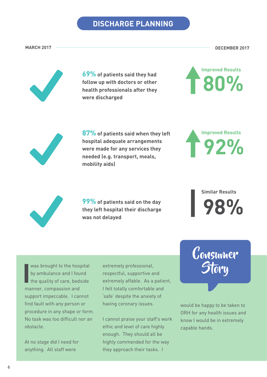## **DISCHARGE PLANNING**

**MARCH 2017 DECEMBER 2017**



**69% of patients said they had follow up with doctors or other health professionals after they were discharged**





**87% of patients said when they left hospital adequate arrangements were made for any services they needed (e.g. transport, meals, mobility aids)**

**99% of patients said on the day they left hospital their discharge was not delayed**



**Similar Results 98%**

**I** was brought to the hospital by ambulance and I found the quality of care, bedside manner, compassion and support impeccable. I cannot find fault with any person or procedure in any shape or form. No task was too difficult nor an obstacle.

At no stage did I need for anything. All staff were

extremely professional, respectful, supportive and extremely affable. As a patient, I felt totally comfortable and 'safe' despite the anxiety of having coronary issues.

I cannot praise your staff's work ethic and level of care highly enough. They should all be highly commended for the way they approach their tasks. I



would be happy to be taken to ORH for any health issues and know I would be in extremely capable hands.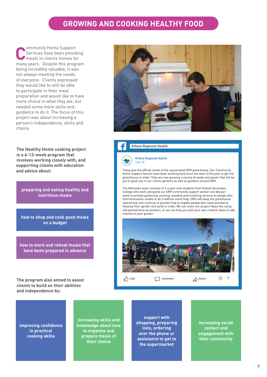## **GROWING AND COOKING HEALTHY FOOD**

**Community Home Support**<br> **C** Services have been providir<br>
meals to clients homes for Services have been providing many years. Despite this program being incredibly valuable, it was not always meeting the needs of everyone. Clients expressed they would like to still be able to participate in their meal preparation and would like to have more choice in what they ate, but needed some more skills and guidance to do it. The focus of this project was about increasing a person's independence, skills and choice.

**The Healthy Home cooking project is a 6-12-week program that involves working closely with, and supporting clients with education and advice about:**

**preparing and eating healthy and nutritious meals**

**how to shop and cook good meals on a budget**

**how to store and reheat meals that have been prepared in advance**

**The program also aimed to assist clients to build on their abilities and independence by:**



#### **Orbost Regional Health**



Today was the official reveal of the rejuvenated ORH greenhouse. Our Community Home Support Service have been working hard since the start of the year to get the greenhouse in order. They are now growing a variety of seeds and plants that will be put to good use in our clients gardens as well as gardens around ORH.

The Mohawks team consists of 3-4 year nine students from Orbost Secondary College who work alongside our ORH community support worker one day per week to provide gardening, pruning, weeding and mulching services to people who find themselves unable to do it without some help. ORH will keep the greenhouse operational and continue to provide help to eligible people who need assistance keeping their garden and yards in order. We can share our project ideas like using old painted tyres as planters, or we can help you with your own creative ideas to add interest to your garden.



**improving confidence in practical cooking skills**

**increasing skills and knowledge about how to organise and prepare meals of their choice**

**support with shopping, preparing lists, ordering over the phone or assistance to get to the supermarket**

**increasing social contact and engagement with their community**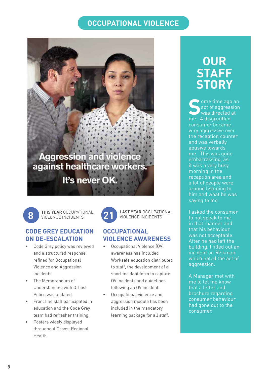## **OCCUPATIONAL VIOLENCE**

# Aggression and violence<br>against healthcare workers. **It's never OK.**

**8 21 THIS YEAR** OCCUPATIONAL VIOLENCE INCIDENTS

### **CODE GREY EDUCATION ON DE-ESCALATION**

- Code Grey policy was reviewed and a structured response refined for Occupational Violence and Aggression incidents.
- The Memorandum of Understanding with Orbost Police was updated.
- Front line staff participated in education and the Code Grey team had refresher training.
- Posters widely displayed throughout Orbost Regional Health.



**LAST YEAR** OCCUPATIONAL VIOLENCE INCIDENTS

### **OCCUPATIONAL VIOLENCE AWARENESS**

- Occupational Violence (OV) awareness has included Worksafe education distributed to staff, the development of a short incident form to capture OV incidents and guidelines following an OV incident.
- Occupational violence and aggression module has been included in the mandatory learning package for all staff.

## **OUR STAFF STORY**

ome time ago an act of aggression was directed at me. A disgruntled consumer became very aggressive over the reception counter and was verbally abusive towards me. This was quite embarrassing, as it was a very busy morning in the reception area and a lot of people were around listening to him and what he was saying to me.

I asked the consumer to not speak to me in that manner and that his behaviour was not acceptable. After he had left the building, I filled out an incident on Riskman which noted the act of aggression.

A Manager met with me to let me know that a letter and brochure regarding consumer behaviour had gone out to the consumer.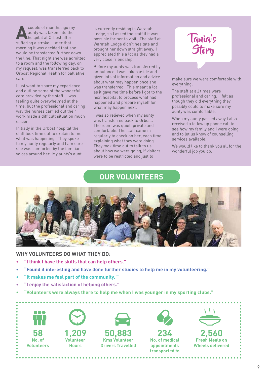**A**couple of months ago my aunty was taken into the hospital at Orbost after suffering a stroke. Later that morning it was decided that she would be transferred further down the line. That night she was admitted to a room and the following day, on my request, was transferred back to Orbost Regional Health for palliative care.

I just want to share my experience and outline some of the wonderful care provided by the staff. I was feeling quite overwhelmed at the time, but the professional and caring way the nurses carried out their work made a difficult situation much easier.

Initially in the Orbost hospital the staff took time out to explain to me what was happening. They spoke to my aunty regularly and I am sure she was comforted by the familiar voices around her. My aunty's aunt

is currently residing in Waratah Lodge, so I asked the staff if it was possible for her to visit. The staff at Waratah Lodge didn't hesitate and brought her down straight away. I appreciated this a lot as they had a very close friendship.

Before my aunty was transferred by ambulance, I was taken aside and given lots of information and advice about what may happen once she was transferred. This meant a lot as it gave me time before I got to the next hospital to process what had happened and prepare myself for what may happen next.

I was so relieved when my aunty was transferred back to Orbost. The room was quiet, private and comfortable. The staff came in regularly to check on her, each time explaining what they were doing. They took time out to talk to us about how we were going, if visitors were to be restricted and just to

## Tania's **Story**

make sure we were comfortable with everything.

The staff at all times were professional and caring. I felt as though they did everything they possibly could to make sure my aunty was comfortable.

When my aunty passed away I also received a follow up phone call to see how my family and I were going and to let us know of counselling services available.

We would like to thank you all for the wonderful job you do.

## **OUR VOLUNTEERS**



#### **WHY VOLUNTEERS DO WHAT THEY DO:**

- **• "I think I have the skills that can help others."**
- **• "Found it interesting and have done further studies to help me in my volunteering."**
- **• "It makes me feel part of the community. "**
- **• "I enjoy the satisfaction of helping others."**
- **• "Volunteers were always there to help me when I was younger in my sporting clubs."**

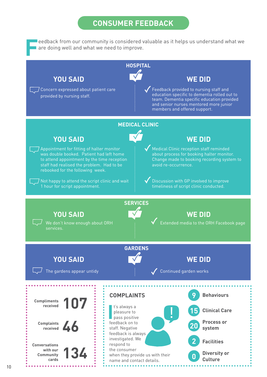## **CONSUMER FEEDBACK**

**F**eedback from our community is considered valuable as it helps us understand what we are doing well and what we need to improve.

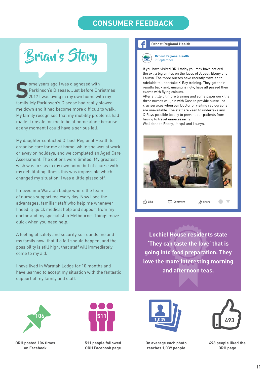## **CONSUMER FEEDBACK**

Brian's Story

**Some years ago I was diagnosed with<br>
2017 I was living in my own home with my<br>
2017 I was living in my own home with my** Parkinson's Disease. Just before Christmas family. My Parkinson's Disease had really slowed me down and it had become more difficult to walk. My family recognised that my mobility problems had made it unsafe for me to be at home alone because at any moment I could have a serious fall.

My daughter contacted Orbost Regional Health to organise care for me at home, while she was at work or away on holidays, and we completed an Aged Care Assessment. The options were limited. My greatest wish was to stay in my own home but of course with my debilitating illness this was impossible which changed my situation. I was a little pissed off.

I moved into Waratah Lodge where the team of nurses support me every day. Now I see the advantages; familiar staff who help me whenever I need it; quick medical help and support from my doctor and my specialist in Melbourne. Things move quick when you need help.

A feeling of safety and security surrounds me and my family now, that if a fall should happen, and the possibility is still high, that staff will immediately come to my aid.

I have lived in Waratah Lodge for 10 months and have learned to accept my situation with the fantastic support of my family and staff.

#### **Orbost Regional Health**

**Orbost Regional Health** 7 September

If you have visited ORH today you may have noticed the extra big smiles on the faces of Jacqui, Ebony and Lauryn. The three nurses have recently traveled to Adelaide to undertake X-Ray training. They got their results back and, unsurprisingly, have all passed their exams with flying colours.

After a little bit more training and some paperwork the three nurses will join with Cass to provide nurse-led xray services when our Doctor or visiting radiographer are unavailable. The staff are keen to undertake any X-Rays possible locally to prevent our patients from having to travel unnecessarily. Well done to Ebony, Jacqui and Lauryn.



**Like Comment Share**

**Lochiel House residents state 'They can taste the love' that is going into food preparation. They love the more interesting morning and afternoon teas.**



**ORH posted 106 times on Facebook** 



**511 people followed ORH Facebook page**



**On average each photo reaches 1,039 people**



 $\bullet$  $\overline{\phantom{0}}$ 

**493 people liked the ORH page**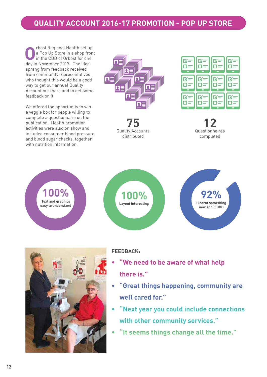## **QUALITY ACCOUNT 2016-17 PROMOTION - POP UP STORE**

**O**rbost Regional Health set up<br>a Pop Up Store in a shop fron<br>in the CBD of Orbost for one a Pop Up Store in a shop front in the CBD of Orbost for one day in November 2017. The idea sprang from feedback received from community representatives who thought this would be a good way to get our annual Quality Account out there and to get some feedback on it.

We offered the opportunity to win a veggie box for people willing to complete a questionnaire on the publication. Health promotion activities were also on show and included consumer blood pressure and blood sugar checks, together with nutrition information.







**12** Questionnaires completed





### **FEEDBACK:**

- **• "We need to be aware of what help there is."**
- **• "Great things happening, community are well cared for."**
- **• "Next year you could include connections with other community services."**
- **• "It seems things change all the time."**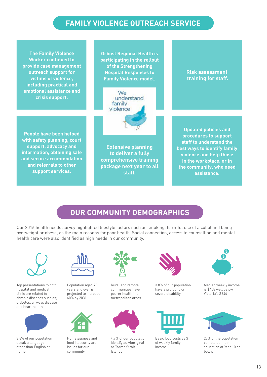## **FAMILY VIOLENCE OUTREACH SERVICE**

**The Family Violence Worker continued to provide case management outreach support for victims of violence, including practical and emotional assistance and crisis support.**

**Orbost Regional Health is participating in the rollout of the Strengthening Hospital Responses to Family Violence model.** 



**People have been helped with safety planning, court support, advocacy and information, obtaining safe and secure accommodation and referrals to other support services.**



**Updated policies and procedures to support staff to understand the best ways to identify family violence and help those in the workplace, or in the community, who need assistance.**

**Risk assessment training for staff.**

## **OUR COMMUNITY DEMOGRAPHICS**

Our 2016 health needs survey highlighted lifestyle factors such as smoking, harmful use of alcohol and being overweight or obese, as the main reasons for poor health. Social connection, access to counselling and mental health care were also identified as high needs in our community.



Top presentations to both hospital and medical clinic are related to chronic diseases such as; diabetes, airways disease and heart health



3.8% of our population speak a language other than English at home



Population aged 70 years and over is projected to increase 60% by 2031



Homelessness and food insecurity are issues for our community



Rural and remote communities have poorer health than metropolitan areas



4.7% of our population identify as Aboriginal or Torres Strait Islander



3.8% of our population have a profound or severe disability



Basic food costs 38% of weekly family income



Median weekly income is \$458 well below Victoria's \$644



27% of the population completed their education at Year 10 or below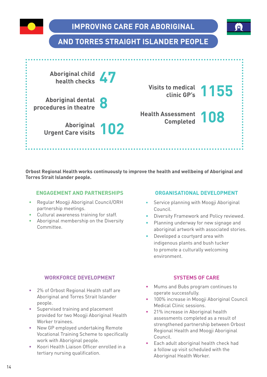

## **AND TORRES STRAIGHT ISLANDER PEOPLE**



**Orbost Regional Health works continuously to improve the health and wellbeing of Aboriginal and Torres Strait Islander people.**

#### **ENGAGEMENT AND PARTNERSHIPS**

- Regular Moogji Aboriginal Council/ORH partnership meetings.
- Cultural awareness training for staff.
- Aboriginal membership on the Diversity Committee.

#### **ORGANISATIONAL DEVELOPMENT**

- Service planning with Moogji Aboriginal Council.
- Diversity Framework and Policy reviewed.
- Planning underway for new signage and aboriginal artwork with associated stories.
- Developed a courtyard area with indigenous plants and bush tucker to promote a culturally welcoming environment.

#### **WORKFORCE DEVELOPMENT**

- 2% of Orbost Regional Health staff are Aboriginal and Torres Strait Islander people.
- Supervised training and placement provided for two Moogji Aboriginal Health Worker trainees.
- New GP employed undertaking Remote Vocational Training Scheme to specifically work with Aboriginal people.
- Koori Health Liaison Officer enrolled in a tertiary nursing qualification.

#### **SYSTEMS OF CARE**

- Mums and Bubs program continues to operate successfully.
- 100% increase in Moogji Aboriginal Council Medical Clinic sessions.
- 21% increase in Aboriginal health assessments completed as a result of strengthened partnership between Orbost Regional Health and Moogji Aboriginal Council.
- Each adult aboriginal health check had a follow up visit scheduled with the Aboriginal Health Worker.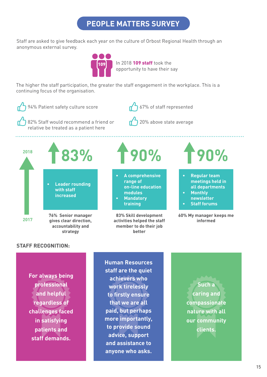## **PEOPLE MATTERS SURVEY**

Staff are asked to give feedback each year on the culture of Orbost Regional Health through an anonymous external survey.



In 2018 109 staff took the opportunity to have their say

The higher the staff participation, the greater the staff engagement in the workplace. This is a continuing focus of the organisation.



**For always being professional and helpful regardless of challenges faced in satisfying patients and staff demands.**

**Human Resources staff are the quiet achievers who work tirelessly to firstly ensure that we are all paid, but perhaps more importantly, to provide sound advice, support and assistance to anyone who asks.**

**Such a caring and compassionate nature with all our community clients.**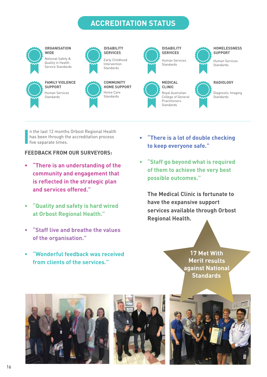## **ACCREDITATION STATUS**



**I** n the last 12 months Orbost Regional Health has been through the accreditation process five separate times.

#### **FEEDBACK FROM OUR SURVEYORS:**

- **• "There is an understanding of the community and engagement that is reflected in the strategic plan and services offered."**
- **• "Quality and safety is hard wired at Orbost Regional Health."**
- **• "Staff live and breathe the values of the organisation."**
- **• "Wonderful feedback was received from clients of the services."**
- **• "There is a lot of double checking to keep everyone safe."**
- **• "Staff go beyond what is required of them to achieve the very best possible outcomes."**

**The Medical Clinic is fortunate to have the expansive support services available through Orbost Regional Health.**

> **17 Met With Merit results against National Standards**





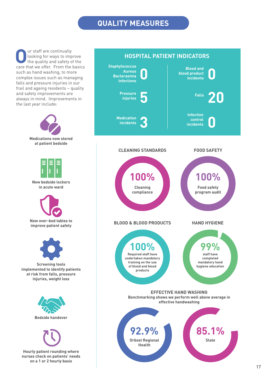## **QUALITY MEASURES**

**O**ur staff are continually<br>the quality and safety of<br>the quality and safety of looking for ways to improve the quality and safety of the care that we offer. From the basics such as hand washing, to more complex issues such as managing falls and pressure injuries in our frail and ageing residents – quality and safety improvements are always in mind. Improvements in the last year include:



## **HOSPITAL PATIENT INDICATORS**

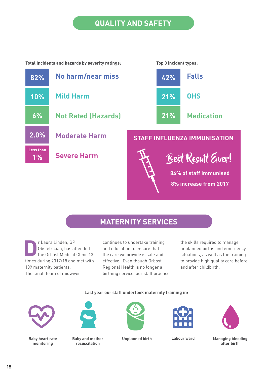## **QUALITY AND SAFETY**

**Total Incidents and hazards by severity ratings: Top 3 incident types:**





## **MATERNITY SERVICES**

**D**<br>**D**r Laura Linden, GP<br>**DR** Obstedical<br>the Orbost Medical Obstetrician, has attended the Orbost Medical Clinic 13 times during 2017/18 and met with 109 maternity patients. The small team of midwives

continues to undertake training and education to ensure that the care we provide is safe and effective. Even though Orbost Regional Health is no longer a birthing service, our staff practice the skills required to manage unplanned births and emergency situations, as well as the training to provide high quality care before and after childbirth.

#### **Last year our staff undertook maternity training in:**



**Baby heart rate monitoring**



**Baby and mother Unplanned birth resuscitation**





**Labour ward Managing bleeding after birth**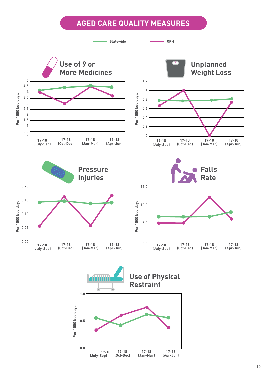## **AGED CARE QUALITY MEASURES**

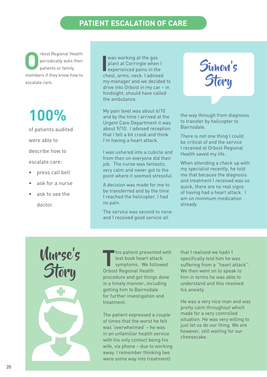## **PATIENT ESCALATION OF CARE**

**O**rbost Regional Health<br>periodically asks their<br>patients or family periodically asks their patients or family members if they know how to escalate care.

# **100%**

of patients audited were able to describe how to escalate care:

- press call bell
- ask for a nurse
- ask to see the doctor.

**I** was working at the gas plant at Corringle when I experienced pains in the chest, arms, neck. I advised my manager and we decided to drive into Orbost in my car – in hindsight, should have called the ambulance.

My pain level was about 6/10 and by the time I arrived at the Urgent Care Department it was about 9/10. I advised reception that I felt a bit crook and think I'm having a heart attack.

I was ushered into a cubicle and from then on everyone did their job. The nurse was fantastic, very calm and never got to the point where it seemed stressful.

A decision was made for me to be transferred and by the time I reached the helicopter, I had no pain.

The service was second to none and I received good service all



the way through from diagnosis to transfer by helicopter to Bairnsdale.

There is not one thing I could be critical of and the service I received at Orbost Regional Health saved my life.

When attending a check up with my specialist recently, he told me that because the diagnosis and treatment I received was so quick, there are no real signs of having had a heart attack. I am on minimum medication already.

Nurse's **Story** 

**T**his patient presented with text book heart attack symptoms. We followed Orbost Regional Health procedure and got things done in a timely manner, including getting him to Bairnsdale for further investigation and treatment.

The patient expressed a couple of times that the worst he felt was 'overwhelmed' – he was in an unfamiliar health service with his only contact being his wife, via phone – due to working away. I remember thinking (we were some way into treatment)

that I realised we hadn't specifically told him he was suffering from a ''heart attack". We then went on to speak to him in terms he was able to understand and this resolved his anxiety.

He was a very nice man and was pretty calm throughout which made for a very controlled situation. He was very willing to just let us do our thing. We are however, still waiting for our cheesecake.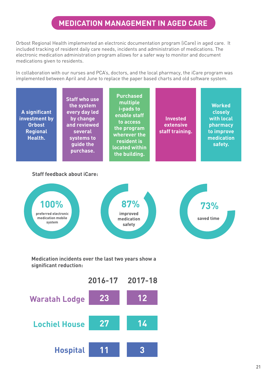## **MEDICATION MANAGEMENT IN AGED CARE**

Orbost Regional Health implemented an electronic documentation program (iCare) in aged care. It included tracking of resident daily care needs, incidents and administration of medications. The electronic medication administration program allows for a safer way to monitor and document medications given to residents.

In collaboration with our nurses and PCA's, doctors, and the local pharmacy, the iCare program was implemented between April and June to replace the paper based charts and old software system.

| A significant<br>investment by<br><b>Orbost</b><br><b>Regional</b><br>Health. | <b>Staff who use</b><br>the system<br>every day led<br>by change<br>and reviewed<br>several<br>systems to<br>guide the<br>purchase. | <b>Purchased</b><br>multiple<br><i>i</i> -pads to<br>enable staff<br>to access<br>the program<br>wherever the<br>resident is<br>located within<br>the building. | <b>Invested</b><br>extensive<br>staff training. | <b>Worked</b><br>closely<br>with local<br>pharmacy<br>to improve<br>medication<br>safety. |
|-------------------------------------------------------------------------------|-------------------------------------------------------------------------------------------------------------------------------------|-----------------------------------------------------------------------------------------------------------------------------------------------------------------|-------------------------------------------------|-------------------------------------------------------------------------------------------|
|                                                                               | <b>Staff feedback about iCare:</b>                                                                                                  |                                                                                                                                                                 |                                                 |                                                                                           |

### **preferred electronic medication mobile system improved medication safety saved time 100% 87% 73%**

**Medication incidents over the last two years show a significant reduction:**

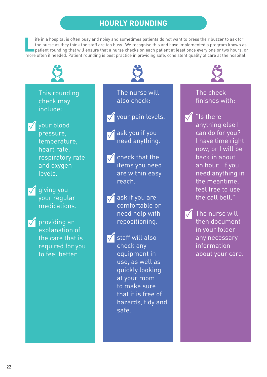## **HOURLY ROUNDING**

Ife in a hospital is often busy and noisy and sometimes patients do not want to press their buzzer to ask for<br>the nurse as they think the staff are too busy. We recognise this and have implemented a program known a<br>patient the nurse as they think the staff are too busy. We recognise this and have implemented a program known as patient rounding that will ensure that a nurse checks on each patient at least once every one or two hours, or more often if needed. Patient rounding is best practice in providing safe, consistent quality of care at the hospital.



## This rounding check may include:



your blood pressure, temperature, heart rate, respiratory rate and oxygen levels.



**V** giving you your regular medications.



**V** providing an explanation of the care that is required for you to feel better.



The nurse will also check:

your pain levels.

- $\sqrt{}$  ask you if you need anything.
- $\sqrt{\ }$  check that the items you need are within easy reach.
	- ask if you are comfortable or need help with repositioning.

 $\sqrt{\ }$  staff will also check any equipment in use, as well as quickly looking at your room to make sure that it is free of hazards, tidy and safe.



## The check finishes with:

- "Is there  $\sqrt{}$ anything else I can do for you? I have time right now, or I will be back in about an hour. If you need anything in the meantime, feel free to use the call bell."
- $\sqrt{}$ The nurse will then document in your folder any necessary information about your care.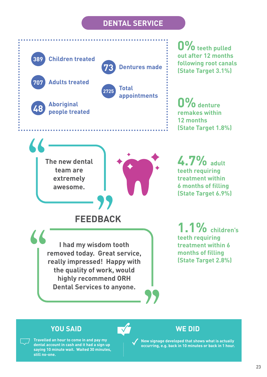## **DENTAL SERVICE**



## **YOU SAID WE DID**

**Travelled an hour to come in and pay my dental account in cash and it had a sign up saying 10 minute wait. Waited 30 minutes, still no-one.**

**New signage developed that shows what is actually occurring, e.g. back in 10 minutes or back in 1 hour.**